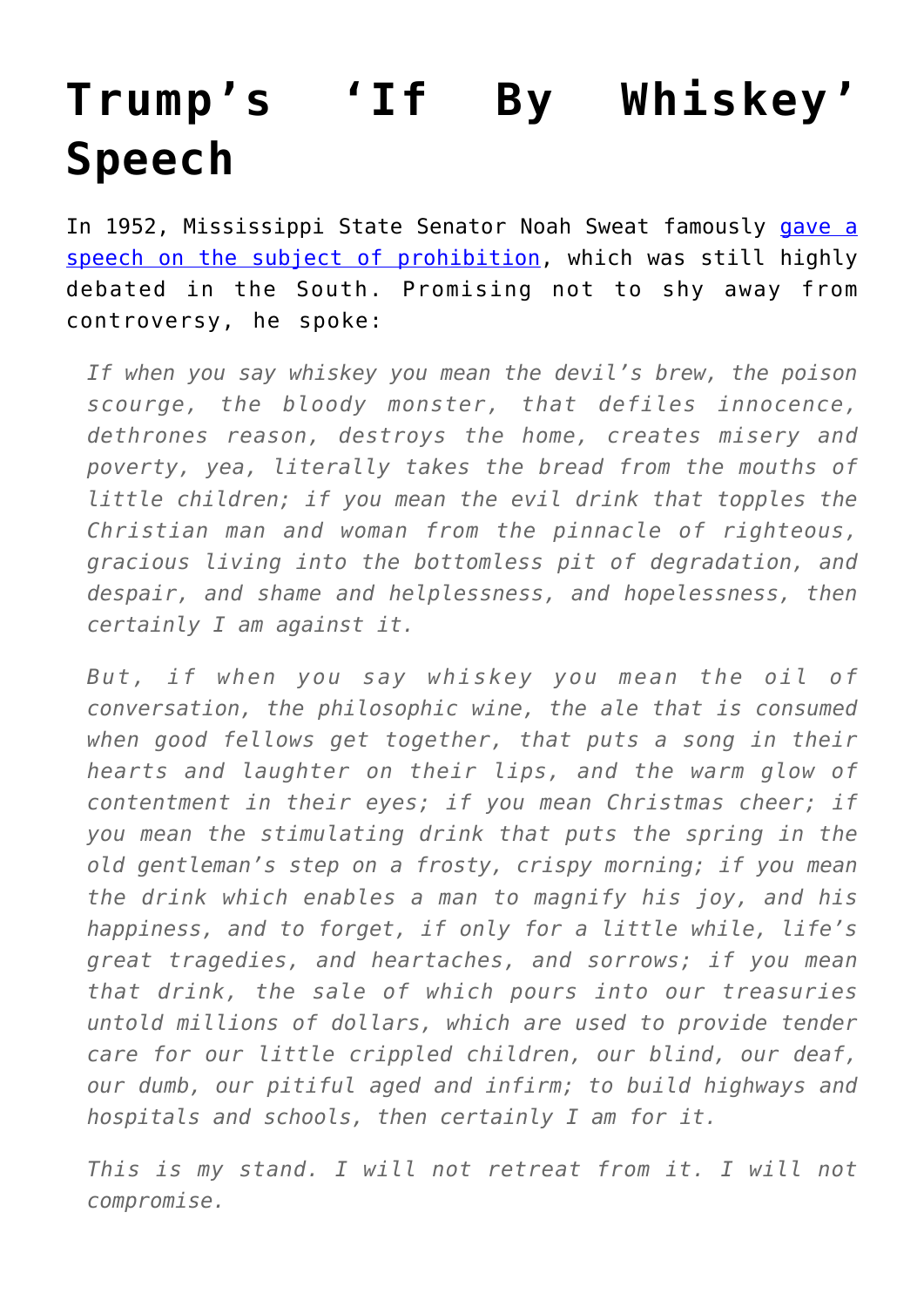## **[Trump's 'If By Whiskey'](https://intellectualtakeout.org/2020/09/trumps-if-by-whiskey-speech/) [Speech](https://intellectualtakeout.org/2020/09/trumps-if-by-whiskey-speech/)**

In 1952, Mississippi State Senator Noah Sweat famously [gave a](https://en.wikipedia.org/wiki/Noah_S._Sweat) [speech on the subject of prohibition,](https://en.wikipedia.org/wiki/Noah_S._Sweat) which was still highly debated in the South. Promising not to shy away from controversy, he spoke:

*If when you say whiskey you mean the devil's brew, the poison scourge, the bloody monster, that defiles innocence, dethrones reason, destroys the home, creates misery and poverty, yea, literally takes the bread from the mouths of little children; if you mean the evil drink that topples the Christian man and woman from the pinnacle of righteous, gracious living into the bottomless pit of degradation, and despair, and shame and helplessness, and hopelessness, then certainly I am against it.*

*But, if when you say whiskey you mean the oil of conversation, the philosophic wine, the ale that is consumed when good fellows get together, that puts a song in their hearts and laughter on their lips, and the warm glow of contentment in their eyes; if you mean Christmas cheer; if you mean the stimulating drink that puts the spring in the old gentleman's step on a frosty, crispy morning; if you mean the drink which enables a man to magnify his joy, and his happiness, and to forget, if only for a little while, life's great tragedies, and heartaches, and sorrows; if you mean that drink, the sale of which pours into our treasuries untold millions of dollars, which are used to provide tender care for our little crippled children, our blind, our deaf, our dumb, our pitiful aged and infirm; to build highways and hospitals and schools, then certainly I am for it.*

*This is my stand. I will not retreat from it. I will not compromise.*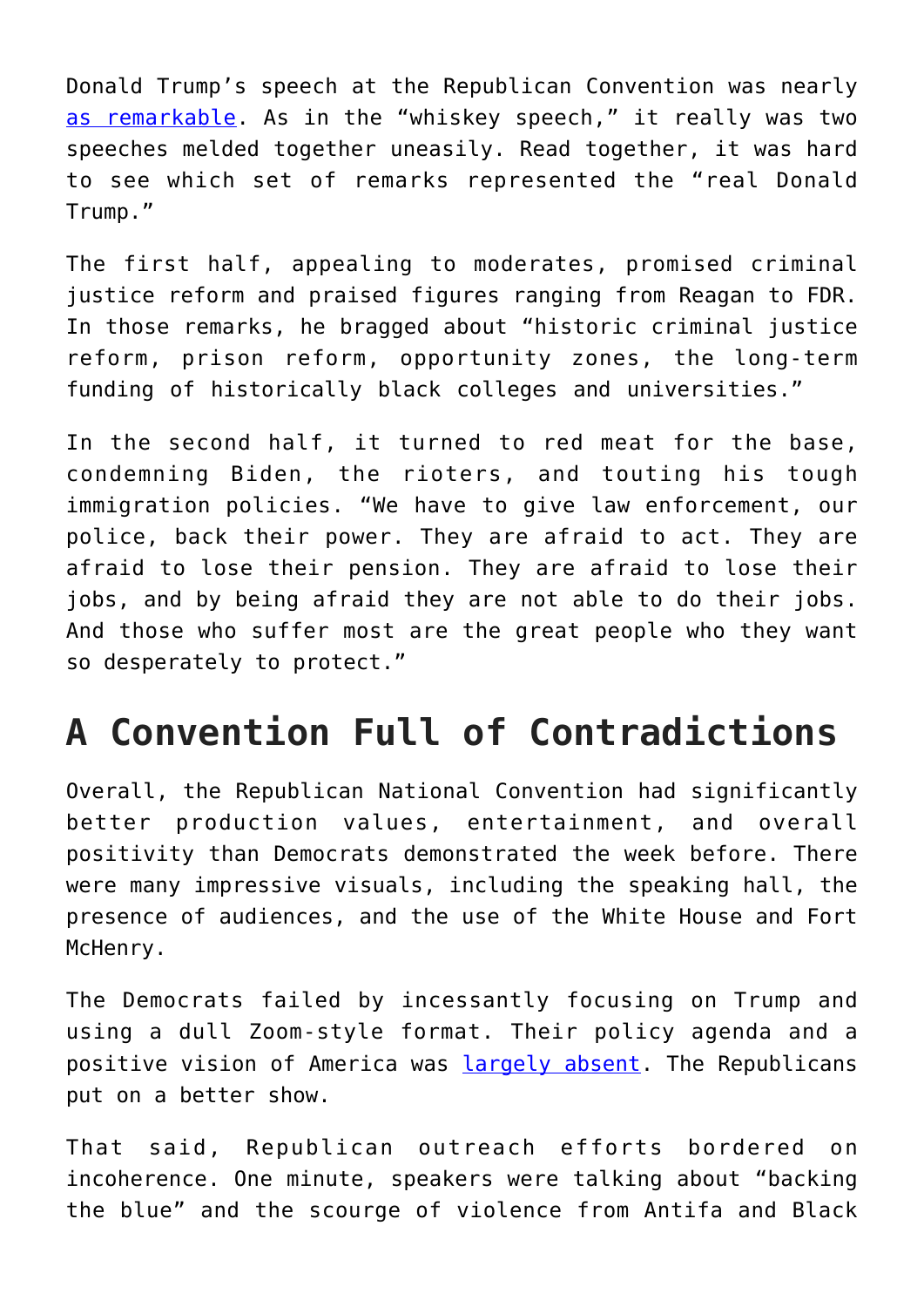Donald Trump's speech at the Republican Convention was nearly [as remarkable](https://www.cnn.com/2020/08/28/politics/donald-trump-speech-transcript/index.html). As in the "whiskey speech," it really was two speeches melded together uneasily. Read together, it was hard to see which set of remarks represented the "real Donald Trump."

The first half, appealing to moderates, promised criminal justice reform and praised figures ranging from Reagan to FDR. In those remarks, he bragged about "historic criminal justice reform, prison reform, opportunity zones, the long-term funding of historically black colleges and universities."

In the second half, it turned to red meat for the base, condemning Biden, the rioters, and touting his tough immigration policies. "We have to give law enforcement, our police, back their power. They are afraid to act. They are afraid to lose their pension. They are afraid to lose their jobs, and by being afraid they are not able to do their jobs. And those who suffer most are the great people who they want so desperately to protect."

## **A Convention Full of Contradictions**

Overall, the Republican National Convention had significantly better production values, entertainment, and overall positivity than Democrats demonstrated the week before. There were many impressive visuals, including the speaking hall, the presence of audiences, and the use of the White House and Fort McHenry.

The Democrats failed by incessantly focusing on Trump and using a dull Zoom-style format. Their policy agenda and a positive vision of America was [largely absent.](https://amgreatness.com/2020/08/23/democrats-are-the-party-of-light-right-and-revenge/) The Republicans put on a better show.

That said, Republican outreach efforts bordered on incoherence. One minute, speakers were talking about "backing the blue" and the scourge of violence from Antifa and Black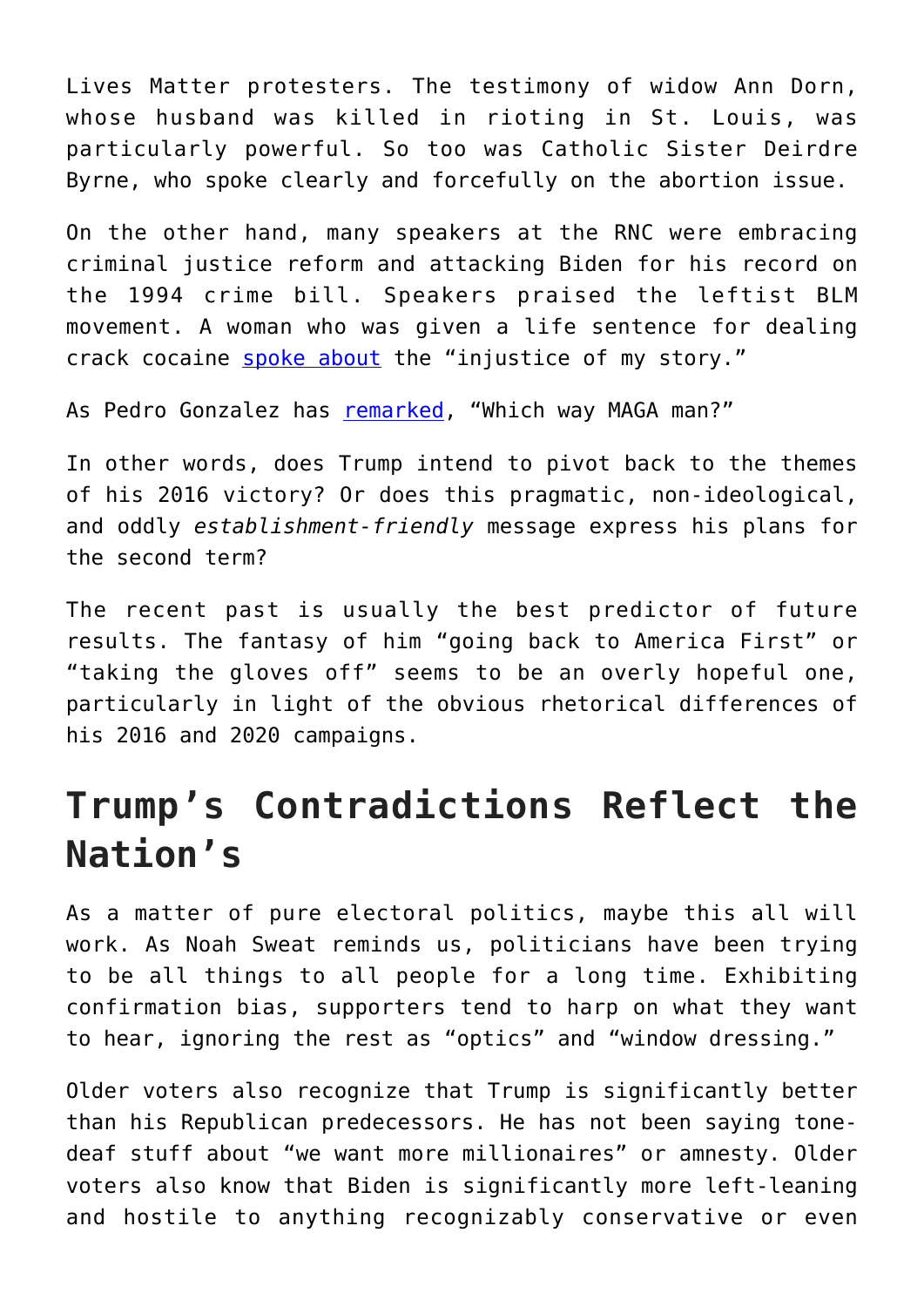Lives Matter protesters. The testimony of widow Ann Dorn, whose husband was killed in rioting in St. Louis, was particularly powerful. So too was Catholic Sister Deirdre Byrne, who spoke clearly and forcefully on the abortion issue.

On the other hand, many speakers at the RNC were embracing criminal justice reform and attacking Biden for his record on the 1994 crime bill. Speakers praised the leftist BLM movement. A woman who was given a life sentence for dealing crack cocaine [spoke about](https://www.commercialappeal.com/story/news/2020/08/27/alice-marie-johnson-speaks-rnc-behalf-president-donald-trump/5651143002/) the "injustice of my story."

As Pedro Gonzalez has [remarked](https://twitter.com/emeriticus/status/1299237532853506049), "Which way MAGA man?"

In other words, does Trump intend to pivot back to the themes of his 2016 victory? Or does this pragmatic, non-ideological, and oddly *establishment-friendly* message express his plans for the second term?

The recent past is usually the best predictor of future results. The fantasy of him "going back to America First" or "taking the gloves off" seems to be an overly hopeful one, particularly in light of the obvious rhetorical differences of his 2016 and 2020 campaigns.

## **Trump's Contradictions Reflect the Nation's**

As a matter of pure electoral politics, maybe this all will work. As Noah Sweat reminds us, politicians have been trying to be all things to all people for a long time. Exhibiting confirmation bias, supporters tend to harp on what they want to hear, ignoring the rest as "optics" and "window dressing."

Older voters also recognize that Trump is significantly better than his Republican predecessors. He has not been saying tonedeaf stuff about "we want more millionaires" or amnesty. Older voters also know that Biden is significantly more left-leaning and hostile to anything recognizably conservative or even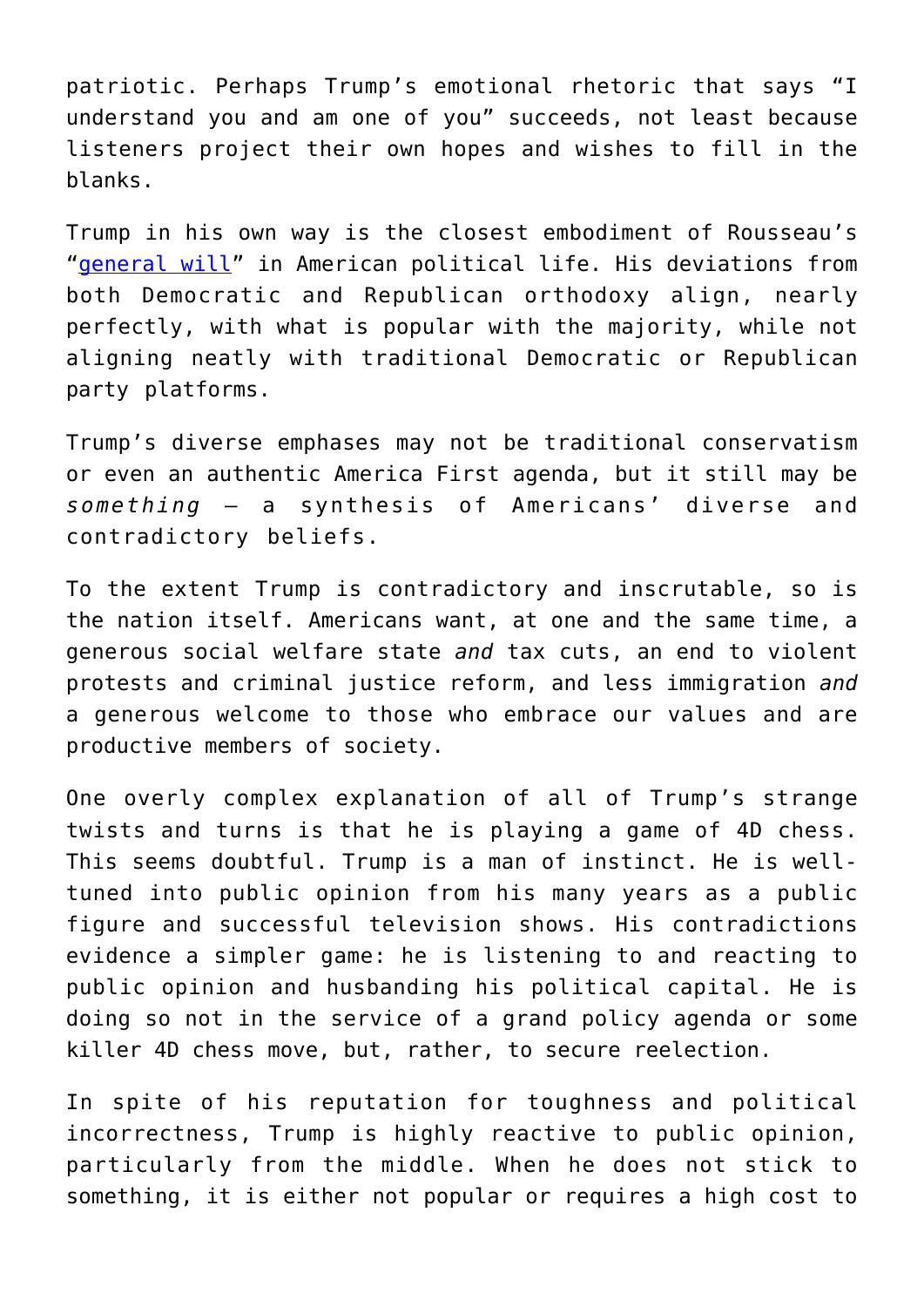patriotic. Perhaps Trump's emotional rhetoric that says "I understand you and am one of you" succeeds, not least because listeners project their own hopes and wishes to fill in the blanks.

Trump in his own way is the closest embodiment of Rousseau's "[general will](https://en.wikipedia.org/wiki/General_will)" in American political life. His deviations from both Democratic and Republican orthodoxy align, nearly perfectly, with what is popular with the majority, while not aligning neatly with traditional Democratic or Republican party platforms.

Trump's diverse emphases may not be traditional conservatism or even an authentic America First agenda, but it still may be *something* – a synthesis of Americans' diverse and contradictory beliefs.

To the extent Trump is contradictory and inscrutable, so is the nation itself. Americans want, at one and the same time, a generous social welfare state *and* tax cuts, an end to violent protests and criminal justice reform, and less immigration *and* a generous welcome to those who embrace our values and are productive members of society.

One overly complex explanation of all of Trump's strange twists and turns is that he is playing a game of 4D chess. This seems doubtful. Trump is a man of instinct. He is welltuned into public opinion from his many years as a public figure and successful television shows. His contradictions evidence a simpler game: he is listening to and reacting to public opinion and husbanding his political capital. He is doing so not in the service of a grand policy agenda or some killer 4D chess move, but, rather, to secure reelection.

In spite of his reputation for toughness and political incorrectness, Trump is highly reactive to public opinion, particularly from the middle. When he does not stick to something, it is either not popular or requires a high cost to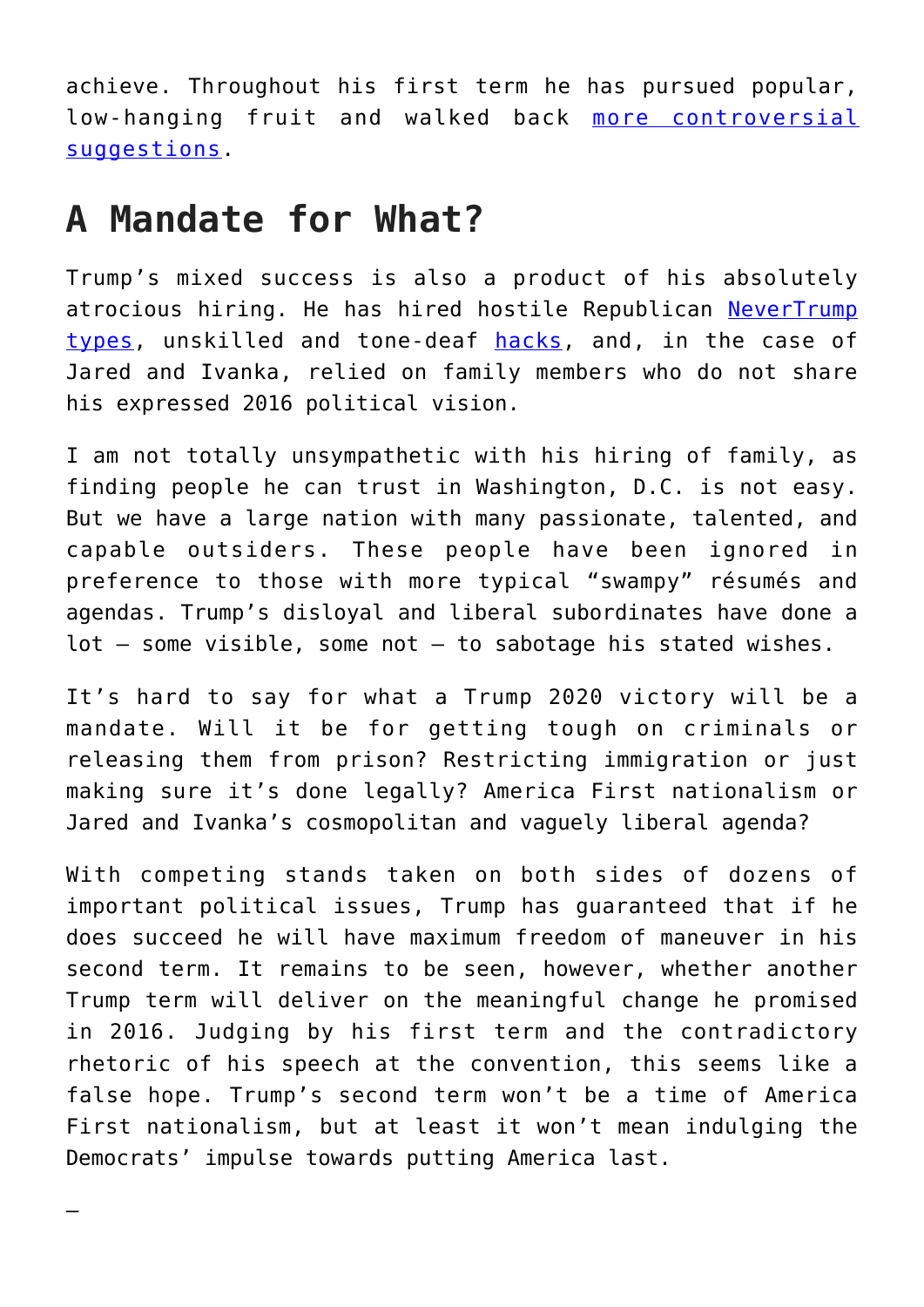achieve. Throughout his first term he has pursued popular, low-hanging fruit and walked back [more controversial](https://thehill.com/homenews/house/392512-white-house-walks-back-trumps-rejection-of-immigration-compromise) [suggestions.](https://thehill.com/homenews/house/392512-white-house-walks-back-trumps-rejection-of-immigration-compromise)

## **A Mandate for What?**

Trump's mixed success is also a product of his absolutely atrocious hiring. He has hired hostile Republican [NeverTrump](https://www.nbcnews.com/think/opinion/trump-s-white-house-enabled-romney-never-trumpers-now-it-ncna1135166) [types](https://www.nbcnews.com/think/opinion/trump-s-white-house-enabled-romney-never-trumpers-now-it-ncna1135166), unskilled and tone-deaf [hacks,](https://en.wikipedia.org/wiki/John_Bolton) and, in the case of Jared and Ivanka, relied on family members who do not share his expressed 2016 political vision.

I am not totally unsympathetic with his hiring of family, as finding people he can trust in Washington, D.C. is not easy. But we have a large nation with many passionate, talented, and capable outsiders. These people have been ignored in preference to those with more typical "swampy" résumés and agendas. Trump's disloyal and liberal subordinates have done a lot – some visible, some not – to sabotage his stated wishes.

It's hard to say for what a Trump 2020 victory will be a mandate. Will it be for getting tough on criminals or releasing them from prison? Restricting immigration or just making sure it's done legally? America First nationalism or Jared and Ivanka's cosmopolitan and vaguely liberal agenda?

With competing stands taken on both sides of dozens of important political issues, Trump has guaranteed that if he does succeed he will have maximum freedom of maneuver in his second term. It remains to be seen, however, whether another Trump term will deliver on the meaningful change he promised in 2016. Judging by his first term and the contradictory rhetoric of his speech at the convention, this seems like a false hope. Trump's second term won't be a time of America First nationalism, but at least it won't mean indulging the Democrats' impulse towards putting America last.

—